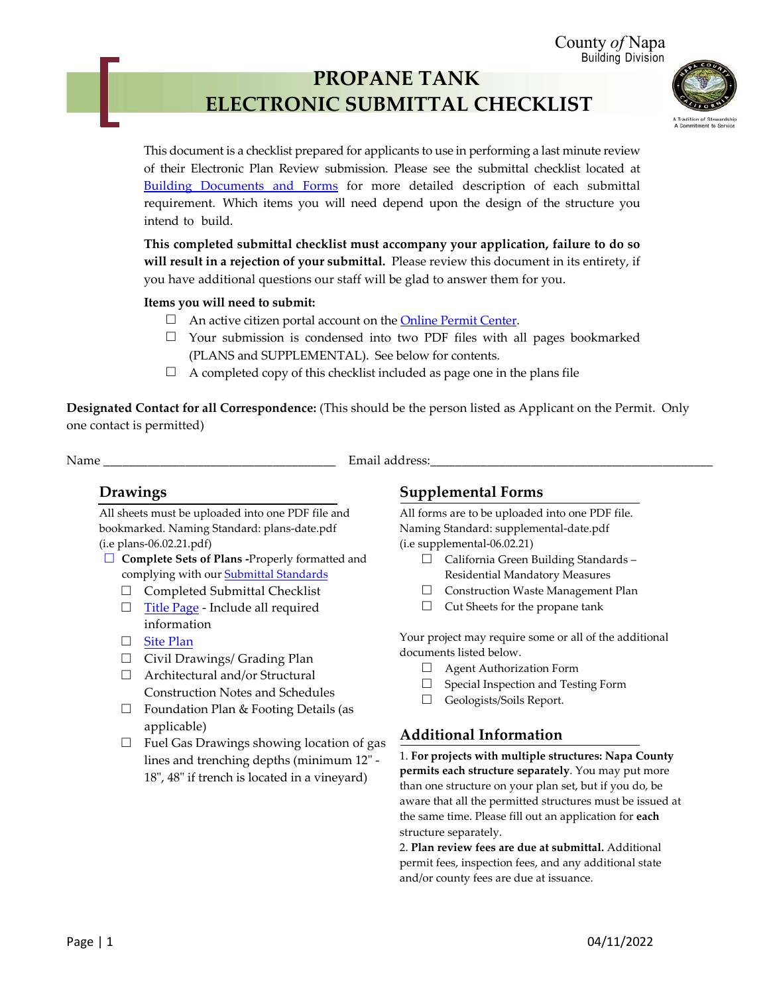County *of* Napa Building Division

# **PROPANE TANK ELECTRONIC SUBMITTAL CHECKLIST**



This document is a checklist prepared for applicants to use in performing a last minute review of their Electronic Plan Review submission. Please see the submittal checklist located at [Building Documents and Forms](https://www.countyofnapa.org/1890/Building-Documents) for more detailed description of each submittal requirement. Which items you will need depend upon the design of the structure you intend to build.

**This completed submittal checklist must accompany your application, failure to do so will result in a rejection of your submittal.** Please review this document in its entirety, if you have additional questions our staff will be glad to answer them for you.

#### **Items you will need to submit:**

- $\Box$  An active citizen portal account on the **Online Permit Center.**
- $\Box$  Your submission is condensed into two PDF files with all pages bookmarked (PLANS and SUPPLEMENTAL). See below for contents.
- $\Box$  A completed copy of this checklist included as page one in the plans file

**Designated Contact for all Correspondence:** (This should be the person listed as Applicant on the Permit. Only one contact is permitted)

Name **Email address:** 

#### **Drawings**

All sheets must be uploaded into one PDF file and bookmarked. Naming Standard: plans-date.pdf (i.e plans-06.02.21.pdf)

- □ **Complete Sets of Plans -**Properly formatted and complying with our [Submittal Standards](https://www.countyofnapa.org/DocumentCenter/View/21510/Submittal-Standards)
	-
	- $\Box$  Completed Submittal Checklist<br> $\Box$  Title Page Include all required [Title Page](https://www.countyofnapa.org/DocumentCenter/View/3620/Title-Page-Requirements-PDF) - Include all required information
	- □ [Site Plan](https://www.countyofnapa.org/DocumentCenter/View/20486/Sample-Site-Plan-for-Express-or-Quick-Permits-PDF)
	- □ Civil Drawings/ Grading Plan
	- □ Architectural and/or Structural Construction Notes and Schedules
	- □ Foundation Plan & Footing Details (as applicable)
	- $\Box$  Fuel Gas Drawings showing location of gas lines and trenching depths (minimum 12" - 18", 48" if trench is located in a vineyard)

#### **Supplemental Forms**

All forms are to be uploaded into one PDF file. Naming Standard: supplemental-date.pdf (i.e supplemental-06.02.21)

- □ California Green Building Standards Residential Mandatory Measures
- □ Construction Waste Management Plan
- □ Cut Sheets for the propane tank

Your project may require some or all of the additional documents listed below.

- $\Box$  Agent Authorization Form<br> $\Box$  Special Inspection and Test
- Special Inspection and Testing Form
- □ Geologists/Soils Report.

### **Additional Information**

1. **For projects with multiple structures: Napa County permits each structure separately**. You may put more than one structure on your plan set, but if you do, be aware that all the permitted structures must be issued at the same time. Please fill out an application for **each** structure separately.

2. **Plan review fees are due at submittal.** Additional permit fees, inspection fees, and any additional state and/or county fees are due at issuance.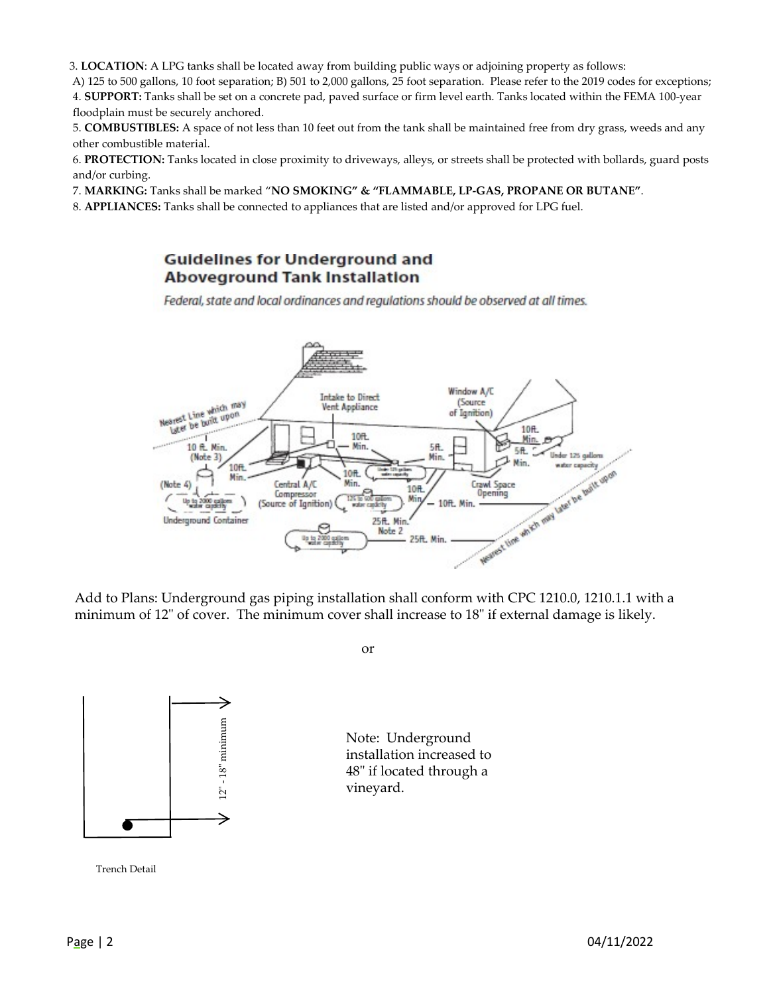3. **LOCATION**: A LPG tanks shall be located away from building public ways or adjoining property as follows:

A) 125 to 500 gallons, 10 foot separation; B) 501 to 2,000 gallons, 25 foot separation. Please refer to the 2019 codes for exceptions; 4. **SUPPORT:** Tanks shall be set on a concrete pad, paved surface or firm level earth. Tanks located within the FEMA 100-year floodplain must be securely anchored.

5. **COMBUSTIBLES:** A space of not less than 10 feet out from the tank shall be maintained free from dry grass, weeds and any other combustible material.

6. **PROTECTION:** Tanks located in close proximity to driveways, alleys, or streets shall be protected with bollards, guard posts and/or curbing.

7. **MARKING:** Tanks shall be marked "**NO SMOKING" & "FLAMMABLE, LP-GAS, PROPANE OR BUTANE"**.

8. **APPLIANCES:** Tanks shall be connected to appliances that are listed and/or approved for LPG fuel.

#### **Guidelines for Underground and Aboveground Tank Installation**

Federal, state and local ordinances and regulations should be observed at all times.



Add to Plans: Underground gas piping installation shall conform with CPC 1210.0, 1210.1.1 with a minimum of 12" of cover. The minimum cover shall increase to 18" if external damage is likely.

or



Note: Underground installation increased to 48" if located through a vineyard.